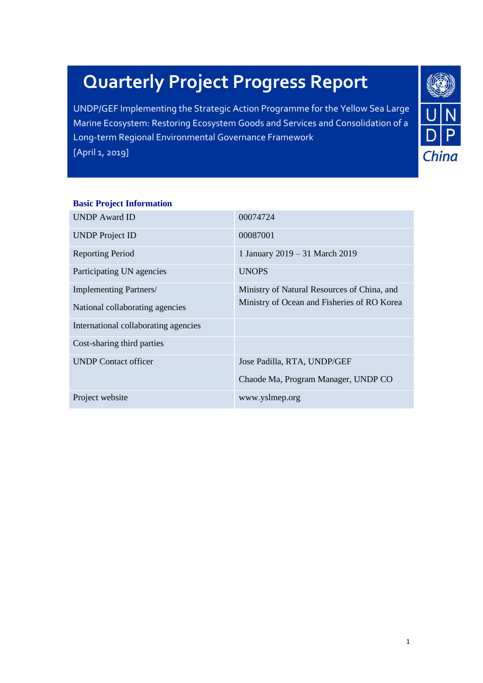# **Quarterly Project Progress Report**

UNDP/GEF Implementing the Strategic Action Programme for the Yellow Sea Large Marine Ecosystem: Restoring Ecosystem Goods and Services and Consolidation of a Long-term Regional Environmental Governance Framework [April 1, 2019]



#### **Basic Project Information**

| <b>UNDP</b> Award ID                 | 00074724                                    |
|--------------------------------------|---------------------------------------------|
| <b>UNDP</b> Project ID               | 00087001                                    |
| <b>Reporting Period</b>              | 1 January 2019 - 31 March 2019              |
| Participating UN agencies            | <b>UNOPS</b>                                |
| Implementing Partners/               | Ministry of Natural Resources of China, and |
| National collaborating agencies      | Ministry of Ocean and Fisheries of RO Korea |
| International collaborating agencies |                                             |
| Cost-sharing third parties           |                                             |
| <b>UNDP</b> Contact officer          | Jose Padilla, RTA, UNDP/GEF                 |
|                                      | Chaode Ma, Program Manager, UNDP CO         |
| Project website                      | www.yslmep.org                              |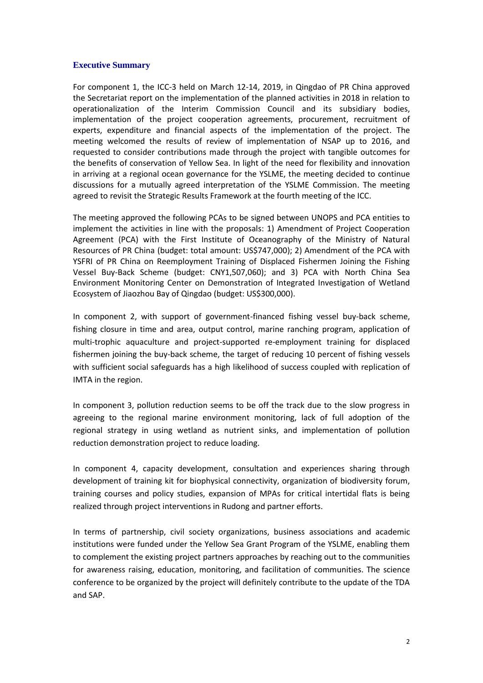#### **Executive Summary**

For component 1, the ICC-3 held on March 12-14, 2019, in Qingdao of PR China approved the Secretariat report on the implementation of the planned activities in 2018 in relation to operationalization of the Interim Commission Council and its subsidiary bodies, implementation of the project cooperation agreements, procurement, recruitment of experts, expenditure and financial aspects of the implementation of the project. The meeting welcomed the results of review of implementation of NSAP up to 2016, and requested to consider contributions made through the project with tangible outcomes for the benefits of conservation of Yellow Sea. In light of the need for flexibility and innovation in arriving at a regional ocean governance for the YSLME, the meeting decided to continue discussions for a mutually agreed interpretation of the YSLME Commission. The meeting agreed to revisit the Strategic Results Framework at the fourth meeting of the ICC.

The meeting approved the following PCAs to be signed between UNOPS and PCA entities to implement the activities in line with the proposals: 1) Amendment of Project Cooperation Agreement (PCA) with the First Institute of Oceanography of the Ministry of Natural Resources of PR China (budget: total amount: US\$747,000); 2) Amendment of the PCA with YSFRI of PR China on Reemployment Training of Displaced Fishermen Joining the Fishing Vessel Buy-Back Scheme (budget: CNY1,507,060); and 3) PCA with North China Sea Environment Monitoring Center on Demonstration of Integrated Investigation of Wetland Ecosystem of Jiaozhou Bay of Qingdao (budget: US\$300,000).

In component 2, with support of government-financed fishing vessel buy-back scheme, fishing closure in time and area, output control, marine ranching program, application of multi-trophic aquaculture and project-supported re-employment training for displaced fishermen joining the buy-back scheme, the target of reducing 10 percent of fishing vessels with sufficient social safeguards has a high likelihood of success coupled with replication of IMTA in the region.

In component 3, pollution reduction seems to be off the track due to the slow progress in agreeing to the regional marine environment monitoring, lack of full adoption of the regional strategy in using wetland as nutrient sinks, and implementation of pollution reduction demonstration project to reduce loading.

In component 4, capacity development, consultation and experiences sharing through development of training kit for biophysical connectivity, organization of biodiversity forum, training courses and policy studies, expansion of MPAs for critical intertidal flats is being realized through project interventions in Rudong and partner efforts.

In terms of partnership, civil society organizations, business associations and academic institutions were funded under the Yellow Sea Grant Program of the YSLME, enabling them to complement the existing project partners approaches by reaching out to the communities for awareness raising, education, monitoring, and facilitation of communities. The science conference to be organized by the project will definitely contribute to the update of the TDA and SAP.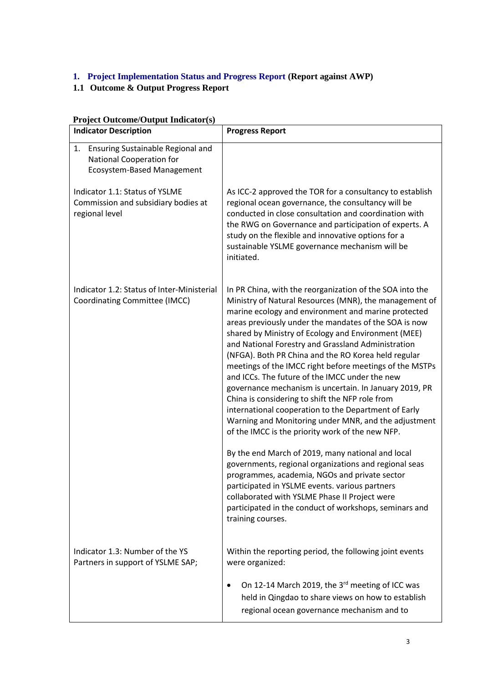## **1. Project Implementation Status and Progress Report (Report against AWP)**

## **1.1 Outcome & Output Progress Report**

| Project Outcome/Output Indicator(s)<br><b>Indicator Description</b>                                             | <b>Progress Report</b>                                                                                                                                                                                                                                                                                                                                                                                                                                                                                                                                                                                                                                                                                                                                                                                                                                                                                                                                                                                                                                                                                                                                |
|-----------------------------------------------------------------------------------------------------------------|-------------------------------------------------------------------------------------------------------------------------------------------------------------------------------------------------------------------------------------------------------------------------------------------------------------------------------------------------------------------------------------------------------------------------------------------------------------------------------------------------------------------------------------------------------------------------------------------------------------------------------------------------------------------------------------------------------------------------------------------------------------------------------------------------------------------------------------------------------------------------------------------------------------------------------------------------------------------------------------------------------------------------------------------------------------------------------------------------------------------------------------------------------|
| Ensuring Sustainable Regional and<br>1.<br><b>National Cooperation for</b><br><b>Ecosystem-Based Management</b> |                                                                                                                                                                                                                                                                                                                                                                                                                                                                                                                                                                                                                                                                                                                                                                                                                                                                                                                                                                                                                                                                                                                                                       |
| Indicator 1.1: Status of YSLME<br>Commission and subsidiary bodies at<br>regional level                         | As ICC-2 approved the TOR for a consultancy to establish<br>regional ocean governance, the consultancy will be<br>conducted in close consultation and coordination with<br>the RWG on Governance and participation of experts. A<br>study on the flexible and innovative options for a<br>sustainable YSLME governance mechanism will be<br>initiated.                                                                                                                                                                                                                                                                                                                                                                                                                                                                                                                                                                                                                                                                                                                                                                                                |
| Indicator 1.2: Status of Inter-Ministerial<br><b>Coordinating Committee (IMCC)</b>                              | In PR China, with the reorganization of the SOA into the<br>Ministry of Natural Resources (MNR), the management of<br>marine ecology and environment and marine protected<br>areas previously under the mandates of the SOA is now<br>shared by Ministry of Ecology and Environment (MEE)<br>and National Forestry and Grassland Administration<br>(NFGA). Both PR China and the RO Korea held regular<br>meetings of the IMCC right before meetings of the MSTPs<br>and ICCs. The future of the IMCC under the new<br>governance mechanism is uncertain. In January 2019, PR<br>China is considering to shift the NFP role from<br>international cooperation to the Department of Early<br>Warning and Monitoring under MNR, and the adjustment<br>of the IMCC is the priority work of the new NFP.<br>By the end March of 2019, many national and local<br>governments, regional organizations and regional seas<br>programmes, academia, NGOs and private sector<br>participated in YSLME events. various partners<br>collaborated with YSLME Phase II Project were<br>participated in the conduct of workshops, seminars and<br>training courses. |
| Indicator 1.3: Number of the YS<br>Partners in support of YSLME SAP;                                            | Within the reporting period, the following joint events<br>were organized:                                                                                                                                                                                                                                                                                                                                                                                                                                                                                                                                                                                                                                                                                                                                                                                                                                                                                                                                                                                                                                                                            |
|                                                                                                                 | On 12-14 March 2019, the 3rd meeting of ICC was<br>held in Qingdao to share views on how to establish<br>regional ocean governance mechanism and to                                                                                                                                                                                                                                                                                                                                                                                                                                                                                                                                                                                                                                                                                                                                                                                                                                                                                                                                                                                                   |

# **Project Outcome/Output Indicator(s)**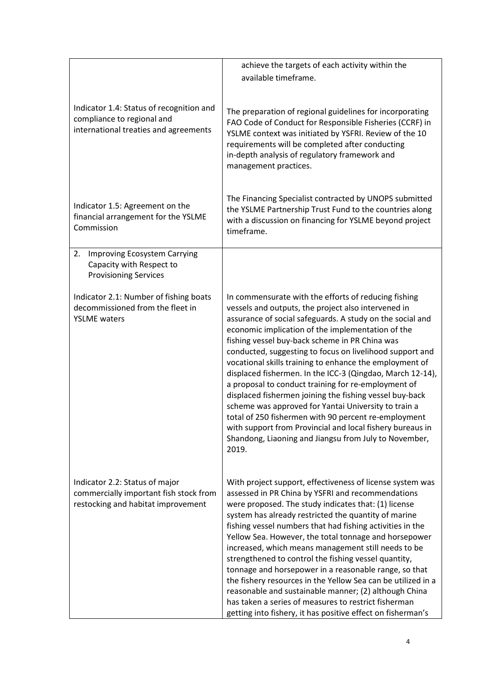|                                                                                                                 | achieve the targets of each activity within the                                                                                                                                                                                                                                                                                                                                                                                                                                                                                                                                                                                                                                                                                                                                                                                      |
|-----------------------------------------------------------------------------------------------------------------|--------------------------------------------------------------------------------------------------------------------------------------------------------------------------------------------------------------------------------------------------------------------------------------------------------------------------------------------------------------------------------------------------------------------------------------------------------------------------------------------------------------------------------------------------------------------------------------------------------------------------------------------------------------------------------------------------------------------------------------------------------------------------------------------------------------------------------------|
|                                                                                                                 | available timeframe.                                                                                                                                                                                                                                                                                                                                                                                                                                                                                                                                                                                                                                                                                                                                                                                                                 |
| Indicator 1.4: Status of recognition and<br>compliance to regional and<br>international treaties and agreements | The preparation of regional guidelines for incorporating<br>FAO Code of Conduct for Responsible Fisheries (CCRF) in<br>YSLME context was initiated by YSFRI. Review of the 10<br>requirements will be completed after conducting<br>in-depth analysis of regulatory framework and<br>management practices.                                                                                                                                                                                                                                                                                                                                                                                                                                                                                                                           |
| Indicator 1.5: Agreement on the<br>financial arrangement for the YSLME<br>Commission                            | The Financing Specialist contracted by UNOPS submitted<br>the YSLME Partnership Trust Fund to the countries along<br>with a discussion on financing for YSLME beyond project<br>timeframe.                                                                                                                                                                                                                                                                                                                                                                                                                                                                                                                                                                                                                                           |
| Improving Ecosystem Carrying<br>2.<br>Capacity with Respect to<br><b>Provisioning Services</b>                  |                                                                                                                                                                                                                                                                                                                                                                                                                                                                                                                                                                                                                                                                                                                                                                                                                                      |
| Indicator 2.1: Number of fishing boats<br>decommissioned from the fleet in<br><b>YSLME</b> waters               | In commensurate with the efforts of reducing fishing<br>vessels and outputs, the project also intervened in<br>assurance of social safeguards. A study on the social and<br>economic implication of the implementation of the<br>fishing vessel buy-back scheme in PR China was<br>conducted, suggesting to focus on livelihood support and<br>vocational skills training to enhance the employment of<br>displaced fishermen. In the ICC-3 (Qingdao, March 12-14),<br>a proposal to conduct training for re-employment of<br>displaced fishermen joining the fishing vessel buy-back<br>scheme was approved for Yantai University to train a<br>total of 250 fishermen with 90 percent re-employment<br>with support from Provincial and local fishery bureaus in<br>Shandong, Liaoning and Jiangsu from July to November,<br>2019. |
| Indicator 2.2: Status of major<br>commercially important fish stock from<br>restocking and habitat improvement  | With project support, effectiveness of license system was<br>assessed in PR China by YSFRI and recommendations<br>were proposed. The study indicates that: (1) license<br>system has already restricted the quantity of marine<br>fishing vessel numbers that had fishing activities in the<br>Yellow Sea. However, the total tonnage and horsepower<br>increased, which means management still needs to be<br>strengthened to control the fishing vessel quantity,<br>tonnage and horsepower in a reasonable range, so that<br>the fishery resources in the Yellow Sea can be utilized in a<br>reasonable and sustainable manner; (2) although China<br>has taken a series of measures to restrict fisherman<br>getting into fishery, it has positive effect on fisherman's                                                         |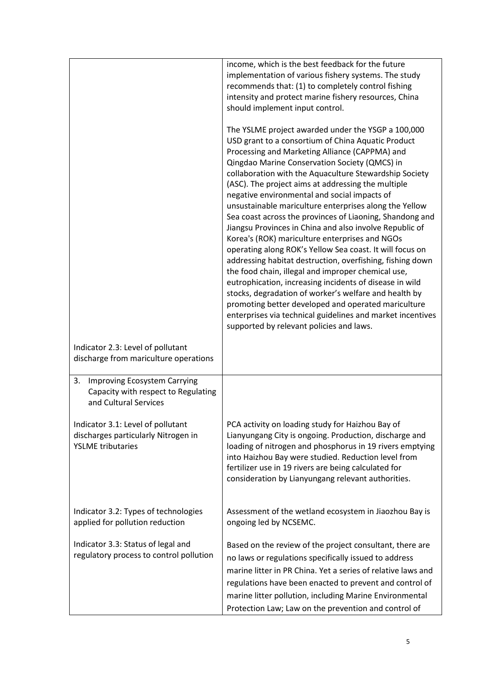|                                                                                                           | income, which is the best feedback for the future<br>implementation of various fishery systems. The study<br>recommends that: (1) to completely control fishing<br>intensity and protect marine fishery resources, China<br>should implement input control.                                                                                                                                                                                                                                                                                                                                                                                                                                                                                                                                                                                                                                                                                                                                                                                                                        |
|-----------------------------------------------------------------------------------------------------------|------------------------------------------------------------------------------------------------------------------------------------------------------------------------------------------------------------------------------------------------------------------------------------------------------------------------------------------------------------------------------------------------------------------------------------------------------------------------------------------------------------------------------------------------------------------------------------------------------------------------------------------------------------------------------------------------------------------------------------------------------------------------------------------------------------------------------------------------------------------------------------------------------------------------------------------------------------------------------------------------------------------------------------------------------------------------------------|
|                                                                                                           | The YSLME project awarded under the YSGP a 100,000<br>USD grant to a consortium of China Aquatic Product<br>Processing and Marketing Alliance (CAPPMA) and<br>Qingdao Marine Conservation Society (QMCS) in<br>collaboration with the Aquaculture Stewardship Society<br>(ASC). The project aims at addressing the multiple<br>negative environmental and social impacts of<br>unsustainable mariculture enterprises along the Yellow<br>Sea coast across the provinces of Liaoning, Shandong and<br>Jiangsu Provinces in China and also involve Republic of<br>Korea's (ROK) mariculture enterprises and NGOs<br>operating along ROK's Yellow Sea coast. It will focus on<br>addressing habitat destruction, overfishing, fishing down<br>the food chain, illegal and improper chemical use,<br>eutrophication, increasing incidents of disease in wild<br>stocks, degradation of worker's welfare and health by<br>promoting better developed and operated mariculture<br>enterprises via technical guidelines and market incentives<br>supported by relevant policies and laws. |
| Indicator 2.3: Level of pollutant<br>discharge from mariculture operations                                |                                                                                                                                                                                                                                                                                                                                                                                                                                                                                                                                                                                                                                                                                                                                                                                                                                                                                                                                                                                                                                                                                    |
| <b>Improving Ecosystem Carrying</b><br>3.<br>Capacity with respect to Regulating<br>and Cultural Services |                                                                                                                                                                                                                                                                                                                                                                                                                                                                                                                                                                                                                                                                                                                                                                                                                                                                                                                                                                                                                                                                                    |
| Indicator 3.1: Level of pollutant<br>discharges particularly Nitrogen in<br><b>YSLME</b> tributaries      | PCA activity on loading study for Haizhou Bay of<br>Lianyungang City is ongoing. Production, discharge and<br>loading of nitrogen and phosphorus in 19 rivers emptying<br>into Haizhou Bay were studied. Reduction level from<br>fertilizer use in 19 rivers are being calculated for<br>consideration by Lianyungang relevant authorities.                                                                                                                                                                                                                                                                                                                                                                                                                                                                                                                                                                                                                                                                                                                                        |
| Indicator 3.2: Types of technologies<br>applied for pollution reduction                                   | Assessment of the wetland ecosystem in Jiaozhou Bay is<br>ongoing led by NCSEMC.                                                                                                                                                                                                                                                                                                                                                                                                                                                                                                                                                                                                                                                                                                                                                                                                                                                                                                                                                                                                   |
| Indicator 3.3: Status of legal and<br>regulatory process to control pollution                             | Based on the review of the project consultant, there are<br>no laws or regulations specifically issued to address<br>marine litter in PR China. Yet a series of relative laws and<br>regulations have been enacted to prevent and control of<br>marine litter pollution, including Marine Environmental<br>Protection Law; Law on the prevention and control of                                                                                                                                                                                                                                                                                                                                                                                                                                                                                                                                                                                                                                                                                                                    |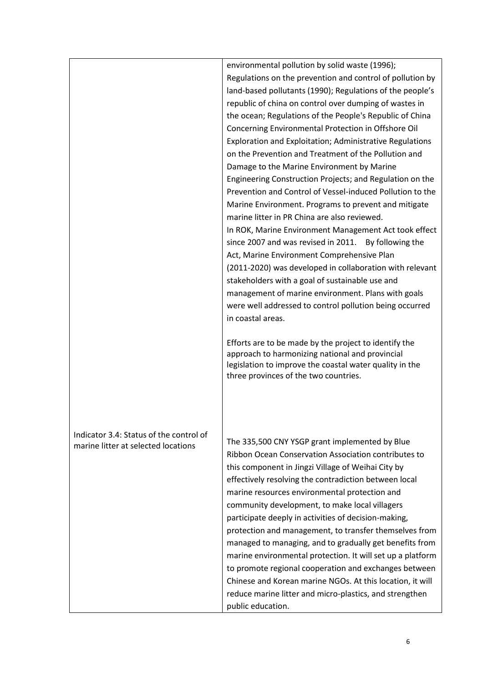|                                                                                | environmental pollution by solid waste (1996);<br>Regulations on the prevention and control of pollution by<br>land-based pollutants (1990); Regulations of the people's<br>republic of china on control over dumping of wastes in<br>the ocean; Regulations of the People's Republic of China<br>Concerning Environmental Protection in Offshore Oil<br>Exploration and Exploitation; Administrative Regulations<br>on the Prevention and Treatment of the Pollution and<br>Damage to the Marine Environment by Marine<br>Engineering Construction Projects; and Regulation on the<br>Prevention and Control of Vessel-induced Pollution to the<br>Marine Environment. Programs to prevent and mitigate<br>marine litter in PR China are also reviewed.<br>In ROK, Marine Environment Management Act took effect<br>since 2007 and was revised in 2011. By following the<br>Act, Marine Environment Comprehensive Plan<br>(2011-2020) was developed in collaboration with relevant<br>stakeholders with a goal of sustainable use and<br>management of marine environment. Plans with goals<br>were well addressed to control pollution being occurred<br>in coastal areas.<br>Efforts are to be made by the project to identify the<br>approach to harmonizing national and provincial |
|--------------------------------------------------------------------------------|------------------------------------------------------------------------------------------------------------------------------------------------------------------------------------------------------------------------------------------------------------------------------------------------------------------------------------------------------------------------------------------------------------------------------------------------------------------------------------------------------------------------------------------------------------------------------------------------------------------------------------------------------------------------------------------------------------------------------------------------------------------------------------------------------------------------------------------------------------------------------------------------------------------------------------------------------------------------------------------------------------------------------------------------------------------------------------------------------------------------------------------------------------------------------------------------------------------------------------------------------------------------------------------|
| Indicator 3.4: Status of the control of<br>marine litter at selected locations | legislation to improve the coastal water quality in the<br>three provinces of the two countries.<br>The 335,500 CNY YSGP grant implemented by Blue<br>Ribbon Ocean Conservation Association contributes to<br>this component in Jingzi Village of Weihai City by<br>effectively resolving the contradiction between local<br>marine resources environmental protection and<br>community development, to make local villagers<br>participate deeply in activities of decision-making,<br>protection and management, to transfer themselves from<br>managed to managing, and to gradually get benefits from<br>marine environmental protection. It will set up a platform<br>to promote regional cooperation and exchanges between<br>Chinese and Korean marine NGOs. At this location, it will<br>reduce marine litter and micro-plastics, and strengthen                                                                                                                                                                                                                                                                                                                                                                                                                                 |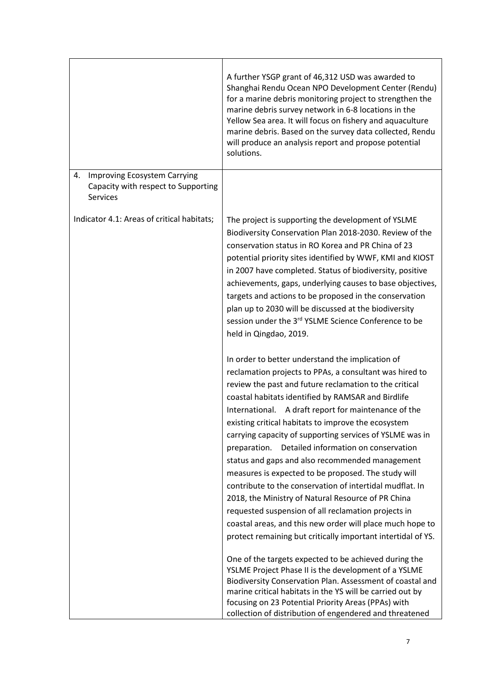|                                                                                       | A further YSGP grant of 46,312 USD was awarded to<br>Shanghai Rendu Ocean NPO Development Center (Rendu)<br>for a marine debris monitoring project to strengthen the<br>marine debris survey network in 6-8 locations in the<br>Yellow Sea area. It will focus on fishery and aquaculture<br>marine debris. Based on the survey data collected, Rendu<br>will produce an analysis report and propose potential<br>solutions.                                                                                                                                                                                                                                                                                                                                                                                                                                                   |
|---------------------------------------------------------------------------------------|--------------------------------------------------------------------------------------------------------------------------------------------------------------------------------------------------------------------------------------------------------------------------------------------------------------------------------------------------------------------------------------------------------------------------------------------------------------------------------------------------------------------------------------------------------------------------------------------------------------------------------------------------------------------------------------------------------------------------------------------------------------------------------------------------------------------------------------------------------------------------------|
| Improving Ecosystem Carrying<br>4.<br>Capacity with respect to Supporting<br>Services |                                                                                                                                                                                                                                                                                                                                                                                                                                                                                                                                                                                                                                                                                                                                                                                                                                                                                |
| Indicator 4.1: Areas of critical habitats;                                            | The project is supporting the development of YSLME<br>Biodiversity Conservation Plan 2018-2030. Review of the<br>conservation status in RO Korea and PR China of 23<br>potential priority sites identified by WWF, KMI and KIOST<br>in 2007 have completed. Status of biodiversity, positive<br>achievements, gaps, underlying causes to base objectives,<br>targets and actions to be proposed in the conservation<br>plan up to 2030 will be discussed at the biodiversity<br>session under the 3 <sup>rd</sup> YSLME Science Conference to be<br>held in Qingdao, 2019.                                                                                                                                                                                                                                                                                                     |
|                                                                                       | In order to better understand the implication of<br>reclamation projects to PPAs, a consultant was hired to<br>review the past and future reclamation to the critical<br>coastal habitats identified by RAMSAR and Birdlife<br>International. A draft report for maintenance of the<br>existing critical habitats to improve the ecosystem<br>carrying capacity of supporting services of YSLME was in<br>Detailed information on conservation<br>preparation.<br>status and gaps and also recommended management<br>measures is expected to be proposed. The study will<br>contribute to the conservation of intertidal mudflat. In<br>2018, the Ministry of Natural Resource of PR China<br>requested suspension of all reclamation projects in<br>coastal areas, and this new order will place much hope to<br>protect remaining but critically important intertidal of YS. |
|                                                                                       | One of the targets expected to be achieved during the<br>YSLME Project Phase II is the development of a YSLME<br>Biodiversity Conservation Plan. Assessment of coastal and<br>marine critical habitats in the YS will be carried out by<br>focusing on 23 Potential Priority Areas (PPAs) with<br>collection of distribution of engendered and threatened                                                                                                                                                                                                                                                                                                                                                                                                                                                                                                                      |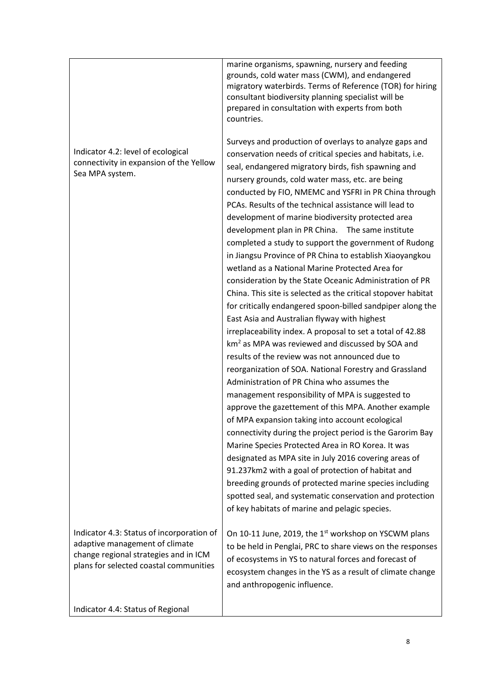|                                                                                                                                                                | marine organisms, spawning, nursery and feeding<br>grounds, cold water mass (CWM), and endangered<br>migratory waterbirds. Terms of Reference (TOR) for hiring<br>consultant biodiversity planning specialist will be<br>prepared in consultation with experts from both<br>countries.                                                                                                                                                                                                                                                                                                                                                                                                                                                                                                                                                                                                                                                                                                                                                                                                                                                                                                                                                                                                                                                                                                                                                                                                                                                                     |
|----------------------------------------------------------------------------------------------------------------------------------------------------------------|------------------------------------------------------------------------------------------------------------------------------------------------------------------------------------------------------------------------------------------------------------------------------------------------------------------------------------------------------------------------------------------------------------------------------------------------------------------------------------------------------------------------------------------------------------------------------------------------------------------------------------------------------------------------------------------------------------------------------------------------------------------------------------------------------------------------------------------------------------------------------------------------------------------------------------------------------------------------------------------------------------------------------------------------------------------------------------------------------------------------------------------------------------------------------------------------------------------------------------------------------------------------------------------------------------------------------------------------------------------------------------------------------------------------------------------------------------------------------------------------------------------------------------------------------------|
| Indicator 4.2: level of ecological<br>connectivity in expansion of the Yellow<br>Sea MPA system.                                                               | Surveys and production of overlays to analyze gaps and<br>conservation needs of critical species and habitats, i.e.<br>seal, endangered migratory birds, fish spawning and<br>nursery grounds, cold water mass, etc. are being<br>conducted by FIO, NMEMC and YSFRI in PR China through<br>PCAs. Results of the technical assistance will lead to<br>development of marine biodiversity protected area<br>development plan in PR China. The same institute<br>completed a study to support the government of Rudong<br>in Jiangsu Province of PR China to establish Xiaoyangkou<br>wetland as a National Marine Protected Area for<br>consideration by the State Oceanic Administration of PR<br>China. This site is selected as the critical stopover habitat<br>for critically endangered spoon-billed sandpiper along the<br>East Asia and Australian flyway with highest<br>irreplaceability index. A proposal to set a total of 42.88<br>$km2$ as MPA was reviewed and discussed by SOA and<br>results of the review was not announced due to<br>reorganization of SOA. National Forestry and Grassland<br>Administration of PR China who assumes the<br>management responsibility of MPA is suggested to<br>approve the gazettement of this MPA. Another example<br>of MPA expansion taking into account ecological<br>connectivity during the project period is the Garorim Bay<br>Marine Species Protected Area in RO Korea. It was<br>designated as MPA site in July 2016 covering areas of<br>91.237km2 with a goal of protection of habitat and |
|                                                                                                                                                                | breeding grounds of protected marine species including<br>spotted seal, and systematic conservation and protection<br>of key habitats of marine and pelagic species.                                                                                                                                                                                                                                                                                                                                                                                                                                                                                                                                                                                                                                                                                                                                                                                                                                                                                                                                                                                                                                                                                                                                                                                                                                                                                                                                                                                       |
| Indicator 4.3: Status of incorporation of<br>adaptive management of climate<br>change regional strategies and in ICM<br>plans for selected coastal communities | On 10-11 June, 2019, the 1 <sup>st</sup> workshop on YSCWM plans<br>to be held in Penglai, PRC to share views on the responses<br>of ecosystems in YS to natural forces and forecast of<br>ecosystem changes in the YS as a result of climate change<br>and anthropogenic influence.                                                                                                                                                                                                                                                                                                                                                                                                                                                                                                                                                                                                                                                                                                                                                                                                                                                                                                                                                                                                                                                                                                                                                                                                                                                                       |
| Indicator 4.4: Status of Regional                                                                                                                              |                                                                                                                                                                                                                                                                                                                                                                                                                                                                                                                                                                                                                                                                                                                                                                                                                                                                                                                                                                                                                                                                                                                                                                                                                                                                                                                                                                                                                                                                                                                                                            |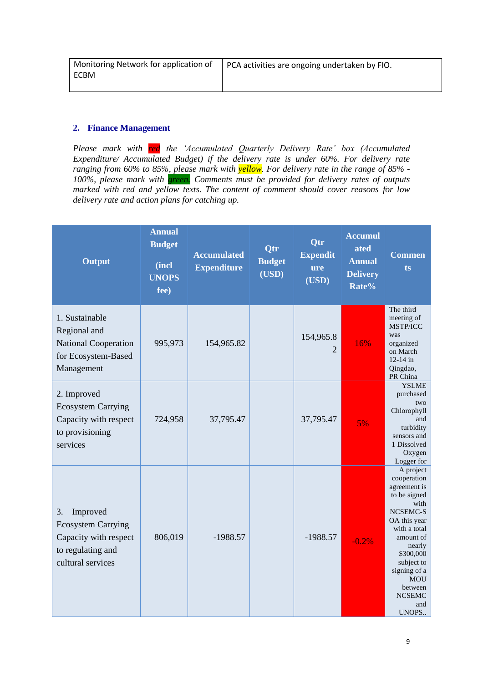| Monitoring Network for application of | PCA activities are ongoing undertaken by FIO. |
|---------------------------------------|-----------------------------------------------|
| <b>ECBM</b>                           |                                               |
|                                       |                                               |

#### **2. Finance Management**

*Please mark with red the 'Accumulated Quarterly Delivery Rate' box (Accumulated Expenditure/ Accumulated Budget) if the delivery rate is under 60%. For delivery rate ranging from 60% to 85%, please mark with yellow. For delivery rate in the range of 85% - 100%, please mark with green. Comments must be provided for delivery rates of outputs marked with red and yellow texts. The content of comment should cover reasons for low delivery rate and action plans for catching up.* 

| <b>Output</b>                                                                                                  | <b>Annual</b><br><b>Budget</b><br>(incl<br><b>UNOPS</b><br>fee) | <b>Accumulated</b><br><b>Expenditure</b> | <b>Qtr</b><br><b>Budget</b><br>(USD) | Qtr<br><b>Expendit</b><br><b>ure</b><br>(USD) | <b>Accumul</b><br>ated<br><b>Annual</b><br><b>Delivery</b><br>Rate% | <b>Commen</b><br>ts                                                                                                                                                                                                                      |
|----------------------------------------------------------------------------------------------------------------|-----------------------------------------------------------------|------------------------------------------|--------------------------------------|-----------------------------------------------|---------------------------------------------------------------------|------------------------------------------------------------------------------------------------------------------------------------------------------------------------------------------------------------------------------------------|
| 1. Sustainable<br>Regional and<br><b>National Cooperation</b><br>for Ecosystem-Based<br>Management             | 995,973                                                         | 154,965.82                               |                                      | 154,965.8<br>2                                | 16%                                                                 | The third<br>meeting of<br>MSTP/ICC<br>was<br>organized<br>on March<br>$12 - 14$ in<br>Qingdao,<br>PR China                                                                                                                              |
| 2. Improved<br><b>Ecosystem Carrying</b><br>Capacity with respect<br>to provisioning<br>services               | 724,958                                                         | 37,795.47                                |                                      | 37,795.47                                     | 5%                                                                  | <b>YSLME</b><br>purchased<br>two<br>Chlorophyll<br>and<br>turbidity<br>sensors and<br>1 Dissolved<br>Oxygen<br>Logger for                                                                                                                |
| 3.<br>Improved<br><b>Ecosystem Carrying</b><br>Capacity with respect<br>to regulating and<br>cultural services | 806,019                                                         | $-1988.57$                               |                                      | $-1988.57$                                    | $-0.2%$                                                             | A project<br>cooperation<br>agreement is<br>to be signed<br>with<br>NCSEMC-S<br>OA this year<br>with a total<br>amount of<br>nearly<br>\$300,000<br>subject to<br>signing of a<br><b>MOU</b><br>between<br><b>NCSEMC</b><br>and<br>UNOPS |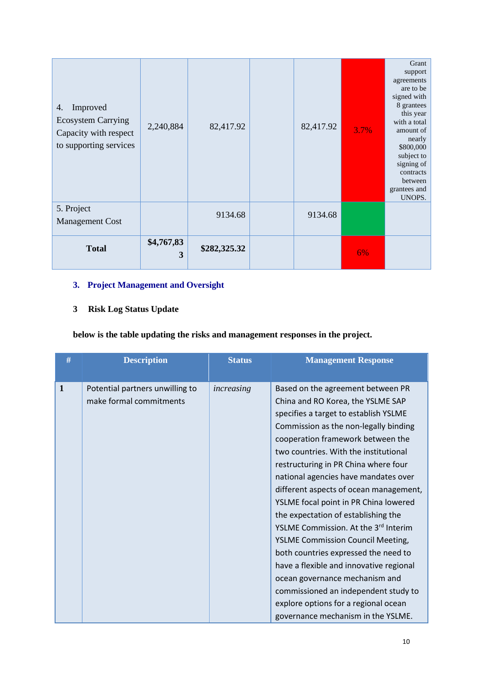| Improved<br>4.<br><b>Ecosystem Carrying</b><br>Capacity with respect<br>to supporting services | 2,240,884       | 82,417.92    | 82,417.92 | 3.7% | Grant<br>support<br>agreements<br>are to be<br>signed with<br>8 grantees<br>this year<br>with a total<br>amount of<br>nearly<br>\$800,000<br>subject to<br>signing of<br>contracts<br>between<br>grantees and<br>UNOPS. |
|------------------------------------------------------------------------------------------------|-----------------|--------------|-----------|------|-------------------------------------------------------------------------------------------------------------------------------------------------------------------------------------------------------------------------|
| 5. Project<br><b>Management Cost</b>                                                           |                 | 9134.68      | 9134.68   |      |                                                                                                                                                                                                                         |
| <b>Total</b>                                                                                   | \$4,767,83<br>3 | \$282,325.32 |           | 6%   |                                                                                                                                                                                                                         |

# **3. Project Management and Oversight**

# **3 Risk Log Status Update**

**below is the table updating the risks and management responses in the project.** 

| #            | <b>Description</b>                                         | <b>Status</b> | <b>Management Response</b>                                                                                                                                                                                                                                                                                                                                                                                                                                                                                                    |
|--------------|------------------------------------------------------------|---------------|-------------------------------------------------------------------------------------------------------------------------------------------------------------------------------------------------------------------------------------------------------------------------------------------------------------------------------------------------------------------------------------------------------------------------------------------------------------------------------------------------------------------------------|
| $\mathbf{1}$ | Potential partners unwilling to<br>make formal commitments | increasing    | Based on the agreement between PR<br>China and RO Korea, the YSLME SAP<br>specifies a target to establish YSLME<br>Commission as the non-legally binding<br>cooperation framework between the<br>two countries. With the institutional<br>restructuring in PR China where four<br>national agencies have mandates over<br>different aspects of ocean management,<br>YSLME focal point in PR China lowered<br>the expectation of establishing the<br>YSLME Commission. At the 3rd Interim<br>YSLME Commission Council Meeting, |
|              |                                                            |               | both countries expressed the need to<br>have a flexible and innovative regional<br>ocean governance mechanism and<br>commissioned an independent study to<br>explore options for a regional ocean<br>governance mechanism in the YSLME.                                                                                                                                                                                                                                                                                       |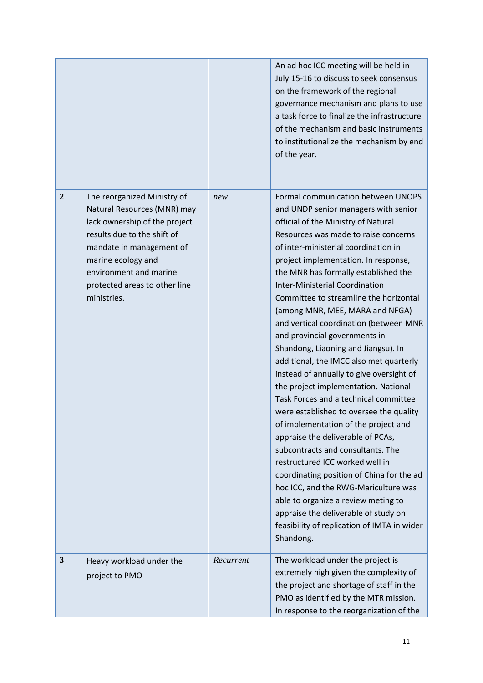|                |                                                                                                                                                                                                                                                        |           | An ad hoc ICC meeting will be held in<br>July 15-16 to discuss to seek consensus<br>on the framework of the regional<br>governance mechanism and plans to use<br>a task force to finalize the infrastructure<br>of the mechanism and basic instruments<br>to institutionalize the mechanism by end<br>of the year.                                                                                                                                                                                                                                                                                                                                                                                                                                                                                                                                                                                                                                                                                                                                                                                                                |
|----------------|--------------------------------------------------------------------------------------------------------------------------------------------------------------------------------------------------------------------------------------------------------|-----------|-----------------------------------------------------------------------------------------------------------------------------------------------------------------------------------------------------------------------------------------------------------------------------------------------------------------------------------------------------------------------------------------------------------------------------------------------------------------------------------------------------------------------------------------------------------------------------------------------------------------------------------------------------------------------------------------------------------------------------------------------------------------------------------------------------------------------------------------------------------------------------------------------------------------------------------------------------------------------------------------------------------------------------------------------------------------------------------------------------------------------------------|
| $\overline{2}$ | The reorganized Ministry of<br>Natural Resources (MNR) may<br>lack ownership of the project<br>results due to the shift of<br>mandate in management of<br>marine ecology and<br>environment and marine<br>protected areas to other line<br>ministries. | new       | Formal communication between UNOPS<br>and UNDP senior managers with senior<br>official of the Ministry of Natural<br>Resources was made to raise concerns<br>of inter-ministerial coordination in<br>project implementation. In response,<br>the MNR has formally established the<br><b>Inter-Ministerial Coordination</b><br>Committee to streamline the horizontal<br>(among MNR, MEE, MARA and NFGA)<br>and vertical coordination (between MNR<br>and provincial governments in<br>Shandong, Liaoning and Jiangsu). In<br>additional, the IMCC also met quarterly<br>instead of annually to give oversight of<br>the project implementation. National<br>Task Forces and a technical committee<br>were established to oversee the quality<br>of implementation of the project and<br>appraise the deliverable of PCAs,<br>subcontracts and consultants. The<br>restructured ICC worked well in<br>coordinating position of China for the ad<br>hoc ICC, and the RWG-Mariculture was<br>able to organize a review meting to<br>appraise the deliverable of study on<br>feasibility of replication of IMTA in wider<br>Shandong. |
| 3              | Heavy workload under the<br>project to PMO                                                                                                                                                                                                             | Recurrent | The workload under the project is<br>extremely high given the complexity of<br>the project and shortage of staff in the<br>PMO as identified by the MTR mission.<br>In response to the reorganization of the                                                                                                                                                                                                                                                                                                                                                                                                                                                                                                                                                                                                                                                                                                                                                                                                                                                                                                                      |